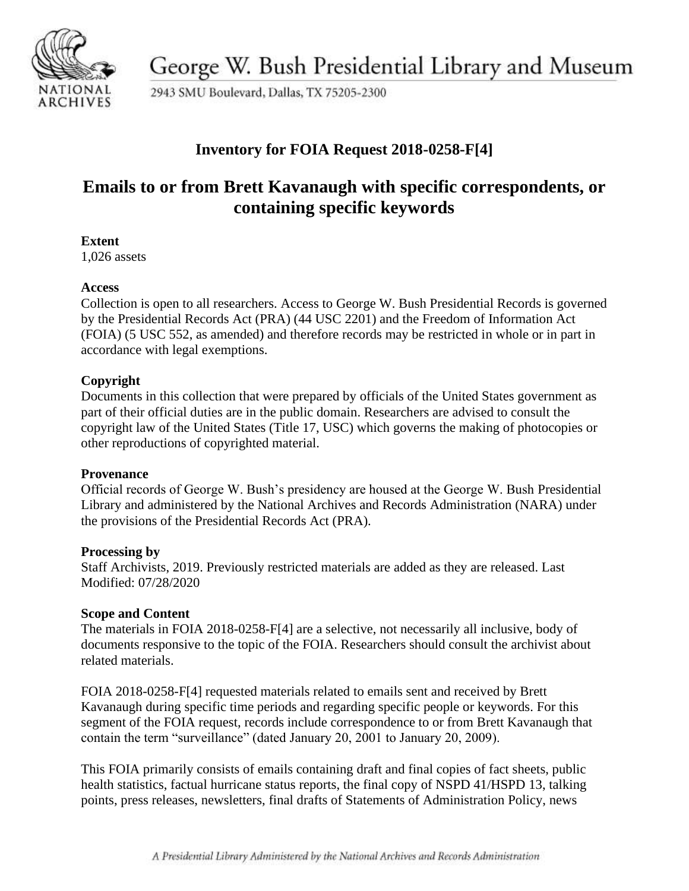

George W. Bush Presidential Library and Museum

2943 SMU Boulevard, Dallas, TX 75205-2300

## **Inventory for FOIA Request 2018-0258-F[4]**

# **Emails to or from Brett Kavanaugh with specific correspondents, or containing specific keywords**

### **Extent**

1,026 assets

### **Access**

Collection is open to all researchers. Access to George W. Bush Presidential Records is governed by the Presidential Records Act (PRA) (44 USC 2201) and the Freedom of Information Act (FOIA) (5 USC 552, as amended) and therefore records may be restricted in whole or in part in accordance with legal exemptions.

## **Copyright**

Documents in this collection that were prepared by officials of the United States government as part of their official duties are in the public domain. Researchers are advised to consult the copyright law of the United States (Title 17, USC) which governs the making of photocopies or other reproductions of copyrighted material.

### **Provenance**

Official records of George W. Bush's presidency are housed at the George W. Bush Presidential Library and administered by the National Archives and Records Administration (NARA) under the provisions of the Presidential Records Act (PRA).

### **Processing by**

Staff Archivists, 2019. Previously restricted materials are added as they are released. Last Modified: 07/28/2020

### **Scope and Content**

The materials in FOIA 2018-0258-F[4] are a selective, not necessarily all inclusive, body of documents responsive to the topic of the FOIA. Researchers should consult the archivist about related materials.

FOIA 2018-0258-F[4] requested materials related to emails sent and received by Brett Kavanaugh during specific time periods and regarding specific people or keywords. For this segment of the FOIA request, records include correspondence to or from Brett Kavanaugh that contain the term "surveillance" (dated January 20, 2001 to January 20, 2009).

This FOIA primarily consists of emails containing draft and final copies of fact sheets, public health statistics, factual hurricane status reports, the final copy of NSPD 41/HSPD 13, talking points, press releases, newsletters, final drafts of Statements of Administration Policy, news